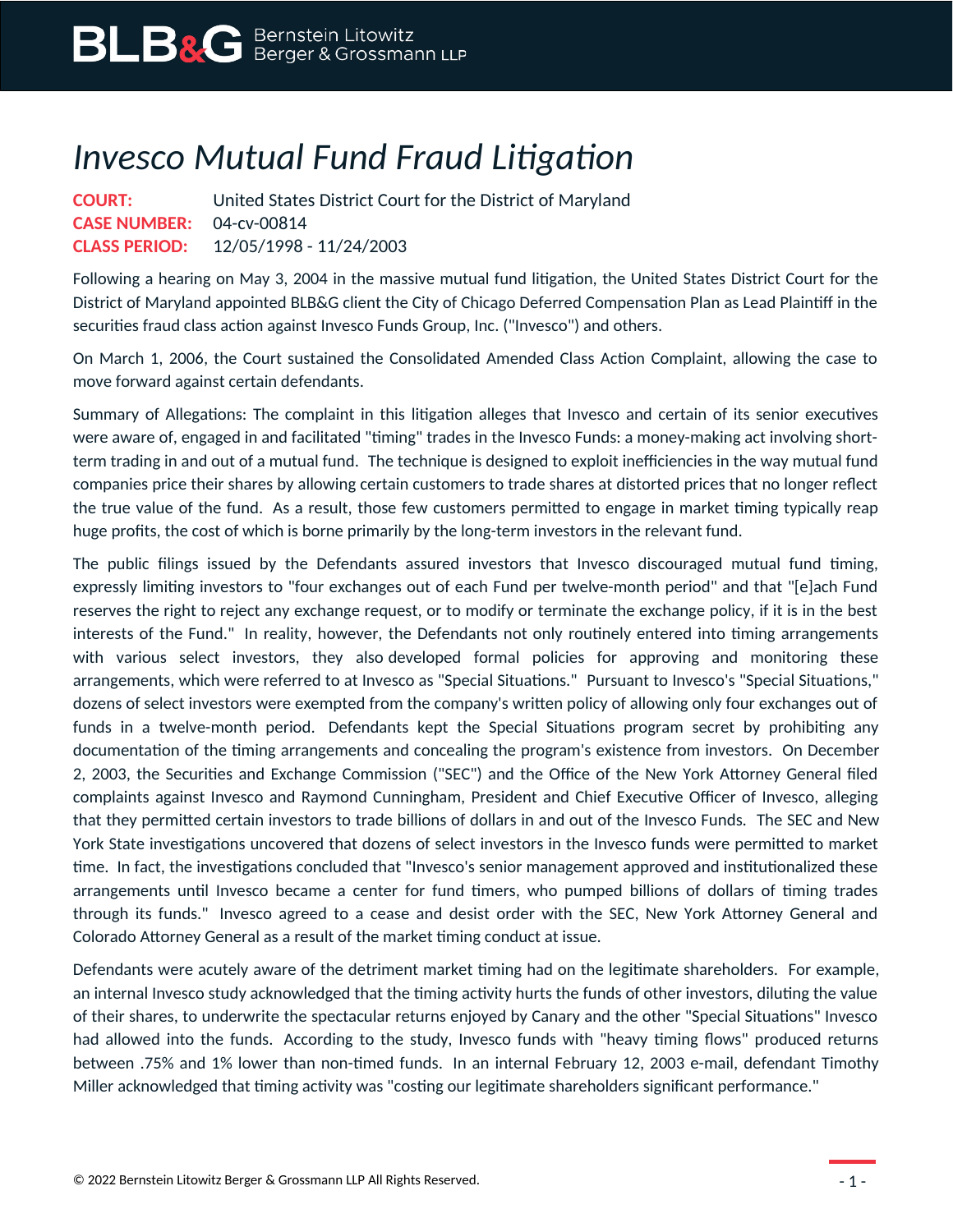## *Invesco Mutual Fund Fraud Litigation*

**COURT:** United States District Court for the District of Maryland **CASE NUMBER:** 04-cv-00814 **CLASS PERIOD:** 12/05/1998 - 11/24/2003

Following a hearing on May 3, 2004 in the massive mutual fund litigation, the United States District Court for the District of Maryland appointed BLB&G client the City of Chicago Deferred Compensation Plan as Lead Plaintiff in the securities fraud class action against Invesco Funds Group, Inc. ("Invesco") and others.

On March 1, 2006, the Court sustained the Consolidated Amended Class Action Complaint, allowing the case to move forward against certain defendants.

Summary of Allegations: The complaint in this litigation alleges that Invesco and certain of its senior executives were aware of, engaged in and facilitated "timing" trades in the Invesco Funds: a money-making act involving shortterm trading in and out of a mutual fund. The technique is designed to exploit inefficiencies in the way mutual fund companies price their shares by allowing certain customers to trade shares at distorted prices that no longer reflect the true value of the fund. As a result, those few customers permitted to engage in market timing typically reap huge profits, the cost of which is borne primarily by the long-term investors in the relevant fund.

The public filings issued by the Defendants assured investors that Invesco discouraged mutual fund timing, expressly limiting investors to "four exchanges out of each Fund per twelve-month period" and that "[e]ach Fund reserves the right to reject any exchange request, or to modify or terminate the exchange policy, if it is in the best interests of the Fund." In reality, however, the Defendants not only routinely entered into timing arrangements with various select investors, they also developed formal policies for approving and monitoring these arrangements, which were referred to at Invesco as "Special Situations." Pursuant to Invesco's "Special Situations," dozens of select investors were exempted from the company's written policy of allowing only four exchanges out of funds in a twelve-month period. Defendants kept the Special Situations program secret by prohibiting any documentation of the timing arrangements and concealing the program's existence from investors. On December 2, 2003, the Securities and Exchange Commission ("SEC") and the Office of the New York Attorney General filed complaints against Invesco and Raymond Cunningham, President and Chief Executive Officer of Invesco, alleging that they permitted certain investors to trade billions of dollars in and out of the Invesco Funds. The SEC and New York State investigations uncovered that dozens of select investors in the Invesco funds were permitted to market time. In fact, the investigations concluded that "Invesco's senior management approved and institutionalized these arrangements until Invesco became a center for fund timers, who pumped billions of dollars of timing trades through its funds." Invesco agreed to a cease and desist order with the SEC, New York Attorney General and Colorado Attorney General as a result of the market timing conduct at issue.

Defendants were acutely aware of the detriment market timing had on the legitimate shareholders. For example, an internal Invesco study acknowledged that the timing activity hurts the funds of other investors, diluting the value of their shares, to underwrite the spectacular returns enjoyed by Canary and the other "Special Situations" Invesco had allowed into the funds. According to the study, Invesco funds with "heavy timing flows" produced returns between .75% and 1% lower than non-timed funds. In an internal February 12, 2003 e-mail, defendant Timothy Miller acknowledged that timing activity was "costing our legitimate shareholders significant performance."